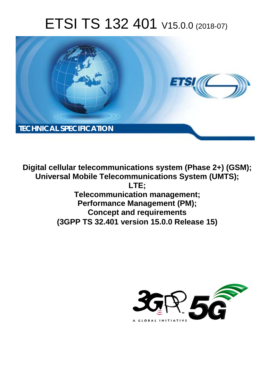# ETSI TS 132 401 V15.0.0 (2018-07)



**Digital cellular telecommunications system (Phase 2+) (GSM); Universal Mobile Telecommunications System (UMTS); LTE; Telecommunication management; Performance Management (PM); Concept and requirements (3GPP TS 32.401 version 15.0.0 Release 15)** 

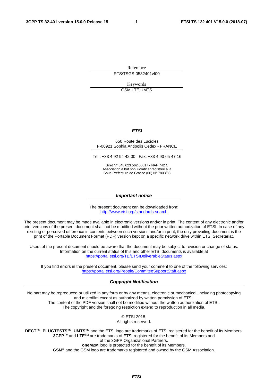Reference RTS/TSGS-0532401vf00

Keywords GSM,LTE,UMTS

#### *ETSI*

#### 650 Route des Lucioles F-06921 Sophia Antipolis Cedex - FRANCE

Tel.: +33 4 92 94 42 00 Fax: +33 4 93 65 47 16

Siret N° 348 623 562 00017 - NAF 742 C Association à but non lucratif enregistrée à la Sous-Préfecture de Grasse (06) N° 7803/88

#### *Important notice*

The present document can be downloaded from: <http://www.etsi.org/standards-search>

The present document may be made available in electronic versions and/or in print. The content of any electronic and/or print versions of the present document shall not be modified without the prior written authorization of ETSI. In case of any existing or perceived difference in contents between such versions and/or in print, the only prevailing document is the print of the Portable Document Format (PDF) version kept on a specific network drive within ETSI Secretariat.

Users of the present document should be aware that the document may be subject to revision or change of status. Information on the current status of this and other ETSI documents is available at <https://portal.etsi.org/TB/ETSIDeliverableStatus.aspx>

If you find errors in the present document, please send your comment to one of the following services: <https://portal.etsi.org/People/CommiteeSupportStaff.aspx>

#### *Copyright Notification*

No part may be reproduced or utilized in any form or by any means, electronic or mechanical, including photocopying and microfilm except as authorized by written permission of ETSI. The content of the PDF version shall not be modified without the written authorization of ETSI. The copyright and the foregoing restriction extend to reproduction in all media.

> © ETSI 2018. All rights reserved.

**DECT**TM, **PLUGTESTS**TM, **UMTS**TM and the ETSI logo are trademarks of ETSI registered for the benefit of its Members. **3GPP**TM and **LTE**TM are trademarks of ETSI registered for the benefit of its Members and of the 3GPP Organizational Partners. **oneM2M** logo is protected for the benefit of its Members.

**GSM**® and the GSM logo are trademarks registered and owned by the GSM Association.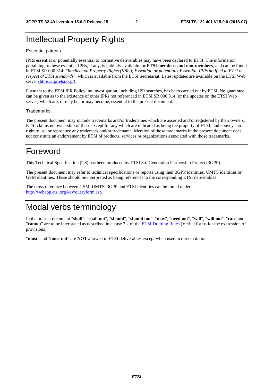# Intellectual Property Rights

#### Essential patents

IPRs essential or potentially essential to normative deliverables may have been declared to ETSI. The information pertaining to these essential IPRs, if any, is publicly available for **ETSI members and non-members**, and can be found in ETSI SR 000 314: *"Intellectual Property Rights (IPRs); Essential, or potentially Essential, IPRs notified to ETSI in respect of ETSI standards"*, which is available from the ETSI Secretariat. Latest updates are available on the ETSI Web server ([https://ipr.etsi.org/\)](https://ipr.etsi.org/).

Pursuant to the ETSI IPR Policy, no investigation, including IPR searches, has been carried out by ETSI. No guarantee can be given as to the existence of other IPRs not referenced in ETSI SR 000 314 (or the updates on the ETSI Web server) which are, or may be, or may become, essential to the present document.

#### **Trademarks**

The present document may include trademarks and/or tradenames which are asserted and/or registered by their owners. ETSI claims no ownership of these except for any which are indicated as being the property of ETSI, and conveys no right to use or reproduce any trademark and/or tradename. Mention of those trademarks in the present document does not constitute an endorsement by ETSI of products, services or organizations associated with those trademarks.

# Foreword

This Technical Specification (TS) has been produced by ETSI 3rd Generation Partnership Project (3GPP).

The present document may refer to technical specifications or reports using their 3GPP identities, UMTS identities or GSM identities. These should be interpreted as being references to the corresponding ETSI deliverables.

The cross reference between GSM, UMTS, 3GPP and ETSI identities can be found under [http://webapp.etsi.org/key/queryform.asp.](http://webapp.etsi.org/key/queryform.asp)

# Modal verbs terminology

In the present document "**shall**", "**shall not**", "**should**", "**should not**", "**may**", "**need not**", "**will**", "**will not**", "**can**" and "**cannot**" are to be interpreted as described in clause 3.2 of the [ETSI Drafting Rules](https://portal.etsi.org/Services/editHelp!/Howtostart/ETSIDraftingRules.aspx) (Verbal forms for the expression of provisions).

"**must**" and "**must not**" are **NOT** allowed in ETSI deliverables except when used in direct citation.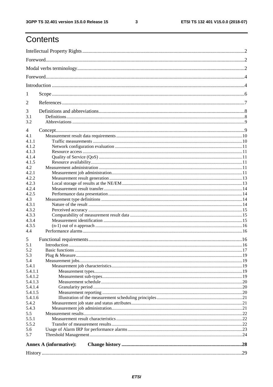$\mathbf{3}$ 

# Contents

| 1              |                               |  |  |  |  |  |
|----------------|-------------------------------|--|--|--|--|--|
| $\overline{2}$ |                               |  |  |  |  |  |
| 3              |                               |  |  |  |  |  |
| 3.1            |                               |  |  |  |  |  |
| 3.2            |                               |  |  |  |  |  |
| 4              |                               |  |  |  |  |  |
| 4.1            |                               |  |  |  |  |  |
| 4.1.1          |                               |  |  |  |  |  |
| 4.1.2          |                               |  |  |  |  |  |
| 4.1.3          |                               |  |  |  |  |  |
| 4.1.4          |                               |  |  |  |  |  |
| 4.1.5          |                               |  |  |  |  |  |
| 4.2            |                               |  |  |  |  |  |
| 4.2.1          |                               |  |  |  |  |  |
| 4.2.2          |                               |  |  |  |  |  |
| 4.2.3          |                               |  |  |  |  |  |
| 4.2.4          |                               |  |  |  |  |  |
| 4.2.5          |                               |  |  |  |  |  |
| 4.3            |                               |  |  |  |  |  |
| 4.3.1          |                               |  |  |  |  |  |
| 4.3.2          |                               |  |  |  |  |  |
| 4.3.3          |                               |  |  |  |  |  |
| 4.3.4          |                               |  |  |  |  |  |
| 4.3.5          |                               |  |  |  |  |  |
| 4.4            |                               |  |  |  |  |  |
| 5              |                               |  |  |  |  |  |
| 5.1            |                               |  |  |  |  |  |
| 5.2            |                               |  |  |  |  |  |
| 5.3            |                               |  |  |  |  |  |
| 5.4            |                               |  |  |  |  |  |
| 5.4.1          |                               |  |  |  |  |  |
| 5.4.1.1        |                               |  |  |  |  |  |
| 5.4.1.2        |                               |  |  |  |  |  |
| 5.4.1.3        |                               |  |  |  |  |  |
| 5.4.1.4        |                               |  |  |  |  |  |
| 5.4.1.5        |                               |  |  |  |  |  |
| 5.4.1.6        |                               |  |  |  |  |  |
| 5.4.2          |                               |  |  |  |  |  |
| 5.4.3          |                               |  |  |  |  |  |
| 5.5            |                               |  |  |  |  |  |
| 5.5.1          |                               |  |  |  |  |  |
| 5.5.2          |                               |  |  |  |  |  |
| 5.6<br>5.7     |                               |  |  |  |  |  |
|                |                               |  |  |  |  |  |
|                | <b>Annex A (informative):</b> |  |  |  |  |  |
|                |                               |  |  |  |  |  |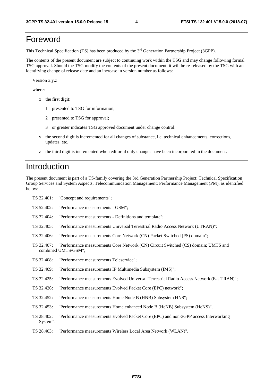# Foreword

This Technical Specification (TS) has been produced by the 3<sup>rd</sup> Generation Partnership Project (3GPP).

The contents of the present document are subject to continuing work within the TSG and may change following formal TSG approval. Should the TSG modify the contents of the present document, it will be re-released by the TSG with an identifying change of release date and an increase in version number as follows:

Version x.y.z

where:

- x the first digit:
	- 1 presented to TSG for information;
	- 2 presented to TSG for approval;
	- 3 or greater indicates TSG approved document under change control.
- y the second digit is incremented for all changes of substance, i.e. technical enhancements, corrections, updates, etc.
- z the third digit is incremented when editorial only changes have been incorporated in the document.

# Introduction

The present document is part of a TS-family covering the 3rd Generation Partnership Project; Technical Specification Group Services and System Aspects; Telecommunication Management; Performance Management (PM), as identified below:

| TS 32.401:             | "Concept and requirements";                                                                               |
|------------------------|-----------------------------------------------------------------------------------------------------------|
| TS 52.402:             | "Performance measurements - GSM";                                                                         |
| TS 32.404:             | "Performance measurements - Definitions and template";                                                    |
| TS 32.405:             | "Performance measurements Universal Terrestrial Radio Access Network (UTRAN)";                            |
| TS 32.406:             | "Performance measurements Core Network (CN) Packet Switched (PS) domain";                                 |
| TS 32.407:             | "Performance measurements Core Network (CN) Circuit Switched (CS) domain; UMTS and<br>combined UMTS/GSM"; |
| TS 32.408:             | "Performance measurements Teleservice";                                                                   |
| TS 32.409:             | "Performance measurements IP Multimedia Subsystem (IMS)";                                                 |
| TS 32.425:             | "Performance measurements Evolved Universal Terrestrial Radio Access Network (E-UTRAN)";                  |
| TS 32.426:             | "Performance measurements Evolved Packet Core (EPC) network";                                             |
| TS 32.452:             | "Performance measurements Home Node B (HNB) Subsystem HNS";                                               |
| TS 32.453:             | "Performance measurements Home enhanced Node B (HeNB) Subsystem (HeNS)".                                  |
| TS 28.402:<br>System". | "Performance measurements Evolved Packet Core (EPC) and non-3GPP access Interworking                      |
| TS 28.403:             | "Performance measurements Wireless Local Area Network (WLAN)".                                            |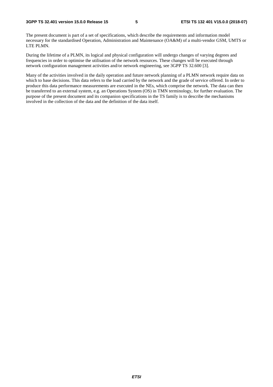The present document is part of a set of specifications, which describe the requirements and information model necessary for the standardised Operation, Administration and Maintenance (OA&M) of a multi-vendor GSM, UMTS or LTE PLMN.

During the lifetime of a PLMN, its logical and physical configuration will undergo changes of varying degrees and frequencies in order to optimise the utilisation of the network resources. These changes will be executed through network configuration management activities and/or network engineering, see 3GPP TS 32.600 [3].

Many of the activities involved in the daily operation and future network planning of a PLMN network require data on which to base decisions. This data refers to the load carried by the network and the grade of service offered. In order to produce this data performance measurements are executed in the NEs, which comprise the network. The data can then be transferred to an external system, e.g. an Operations System (OS) in TMN terminology, for further evaluation. The purpose of the present document and its companion specifications in the TS family is to describe the mechanisms involved in the collection of the data and the definition of the data itself.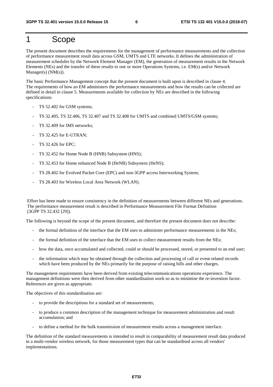# 1 Scope

The present document describes the requirements for the management of performance measurements and the collection of performance measurement result data across GSM, UMTS and LTE networks. It defines the administration of measurement schedules by the Network Element Manager (EM), the generation of measurement results in the Network Elements (NEs) and the transfer of these results to one or more Operations Systems, i.e. EM(s) and/or Network Manager(s) (NM(s)).

The basic Performance Management concept that the present document is built upon is described in clause 4. The requirements of how an EM administers the performance measurements and how the results can be collected are defined in detail in clause 5. Measurements available for collection by NEs are described in the following specifications:

- TS 52.402 for GSM systems;
- TS 32.405, TS 32.406, TS 32.407 and TS 32.408 for UMTS and combined UMTS/GSM systems;
- TS 32.409 for IMS networks;
- TS 32.425 for E-UTRAN;
- TS 32.426 for EPC;
- TS 32.452 for Home Node B (HNB) Subsystem (HNS);
- TS 32.453 for Home enhanced Node B (HeNB) Subsystem (HeNS);
- TS 28.402 for Evolved Packet Core (EPC) and non-3GPP access Interworking System;
- TS 28.403 for Wireless Local Area Network (WLAN).

Effort has been made to ensure consistency in the definition of measurements between different NEs and generations. The performance measurement result is described in Performance Measurement File Format Definition (3GPP TS 32.432 [29]).

The following is beyond the scope of the present document, and therefore the present document does not describe:

- the formal definition of the interface that the EM uses to administer performance measurements in the NEs;
- the formal definition of the interface that the EM uses to collect measurement results from the NEs;
- how the data, once accumulated and collected, could or should be processed, stored, or presented to an end user;
- the information which may be obtained through the collection and processing of call or event related records which have been produced by the NEs primarily for the purpose of raising bills and other charges.

The management requirements have been derived from existing telecommunications operations experience. The management definitions were then derived from other standardisation work so as to minimise the re-invention factor. References are given as appropriate.

The objectives of this standardisation are:

- to provide the descriptions for a standard set of measurements;
- to produce a common description of the management technique for measurement administration and result accumulation; and
- to define a method for the bulk transmission of measurement results across a management interface.

The definition of the standard measurements is intended to result in comparability of measurement result data produced in a multi-vendor wireless network, for those measurement types that can be standardised across all vendors' implementations.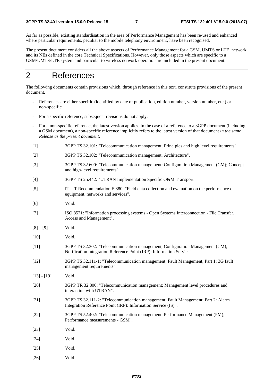As far as possible, existing standardisation in the area of Performance Management has been re-used and enhanced where particular requirements, peculiar to the mobile telephony environment, have been recognised.

The present document considers all the above aspects of Performance Management for a GSM, UMTS or LTE network and its NEs defined in the core Technical Specifications. However, only those aspects which are specific to a GSM/UMTS/LTE system and particular to wireless network operation are included in the present document.

# 2 References

The following documents contain provisions which, through reference in this text, constitute provisions of the present document.

- References are either specific (identified by date of publication, edition number, version number, etc.) or non-specific.
- For a specific reference, subsequent revisions do not apply.
- For a non-specific reference, the latest version applies. In the case of a reference to a 3GPP document (including a GSM document), a non-specific reference implicitly refers to the latest version of that document *in the same Release as the present document*.
- [1] 3GPP TS 32.101: "Telecommunication management; Principles and high level requirements".
- [2] 3GPP TS 32.102: "Telecommunication management; Architecture".
- [3] 3GPP TS 32.600: "Telecommunication management; Configuration Management (CM); Concept and high-level requirements".
- [4] 3GPP TS 25.442: "UTRAN Implementation Specific O&M Transport".
- [5] ITU-T Recommendation E.880: "Field data collection and evaluation on the performance of equipment, networks and services".
- [6] Void.
- [7] ISO 8571: "Information processing systems Open Systems Interconnection File Transfer, Access and Management".
- $[8] [9]$  Void.
- [10] Void.
- [11] 3GPP TS 32.302: "Telecommunication management; Configuration Management (CM); Notification Integration Reference Point (IRP): Information Service".
- [12] 3GPP TS 32.111-1: "Telecommunication management; Fault Management; Part 1: 3G fault management requirements".
- [13] [19] Void.
- [20] 3GPP TR 32.800: "Telecommunication management; Management level procedures and interaction with UTRAN".
- [21] 3GPP TS 32.111-2: "Telecommunication management; Fault Management; Part 2: Alarm Integration Reference Point (IRP): Information Service (IS)".
- [22] 3GPP TS 52.402: "Telecommunication management; Performance Management (PM); Performance measurements - GSM".
- [23] **Void.**
- [24] **Void.**
- [25] Void.
- [26] Void.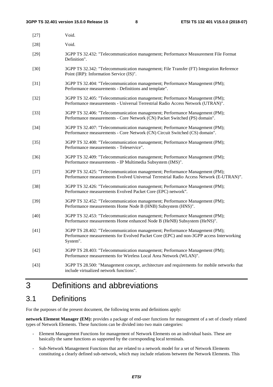| $[27]$ | Void.                                                                                                                                                                              |
|--------|------------------------------------------------------------------------------------------------------------------------------------------------------------------------------------|
| $[28]$ | Void.                                                                                                                                                                              |
| $[29]$ | 3GPP TS 32.432: "Telecommunication management; Performance Measurement File Format<br>Definition".                                                                                 |
| $[30]$ | 3GPP TS 32.342: "Telecommunication management; File Transfer (FT) Integration Reference<br>Point (IRP): Information Service (IS)".                                                 |
| $[31]$ | 3GPP TS 32.404: "Telecommunication management; Performance Management (PM);<br>Performance measurements - Definitions and template".                                               |
| $[32]$ | 3GPP TS 32.405: "Telecommunication management; Performance Management (PM);<br>Performance measurements - Universal Terrestrial Radio Access Network (UTRAN)".                     |
| $[33]$ | 3GPP TS 32.406: "Telecommunication management; Performance Management (PM);<br>Performance measurements - Core Network (CN) Packet Switched (PS) domain".                          |
| $[34]$ | 3GPP TS 32.407: "Telecommunication management; Performance Management (PM);<br>Performance measurements - Core Network (CN) Circuit Switched (CS) domain".                         |
| $[35]$ | 3GPP TS 32.408: "Telecommunication management; Performance Management (PM);<br>Performance measurements - Teleservice".                                                            |
| $[36]$ | 3GPP TS 32.409: "Telecommunication management; Performance Management (PM);<br>Performance measurements - IP Multimedia Subsystem (IMS)".                                          |
| $[37]$ | 3GPP TS 32.425: "Telecommunication management; Performance Management (PM);<br>Performance measurements Evolved Universal Terrestrial Radio Access Network (E-UTRAN)".             |
| $[38]$ | 3GPP TS 32.426: "Telecommunication management; Performance Management (PM);<br>Performance measurements Evolved Packet Core (EPC) network".                                        |
| $[39]$ | 3GPP TS 32.452: "Telecommunication management; Performance Management (PM);<br>Performance measurements Home Node B (HNB) Subsystem (HNS)".                                        |
| $[40]$ | 3GPP TS 32.453: "Telecommunication management; Performance Management (PM);<br>Performance measurements Home enhanced Node B (HeNB) Subsystem (HeNS)".                             |
| $[41]$ | 3GPP TS 28.402: "Telecommunication management; Performance Management (PM);<br>Performance measurements for Evolved Packet Core (EPC) and non-3GPP access Interworking<br>System". |
| $[42]$ | 3GPP TS 28.403: "Telecommunication management; Performance Management (PM);<br>Performance measurements for Wireless Local Area Network (WLAN)".                                   |
| $[43]$ | 3GPP TS 28.500: "Management concept, architecture and requirements for mobile networks that<br>include virtualized network functions".                                             |

# 3 Definitions and abbreviations

# 3.1 Definitions

For the purposes of the present document, the following terms and definitions apply:

**network Element Manager (EM):** provides a package of end-user functions for management of a set of closely related types of Network Elements. These functions can be divided into two main categories:

- Element Management Functions for management of Network Elements on an individual basis. These are basically the same functions as supported by the corresponding local terminals.
- Sub-Network Management Functions that are related to a network model for a set of Network Elements constituting a clearly defined sub-network, which may include relations between the Network Elements. This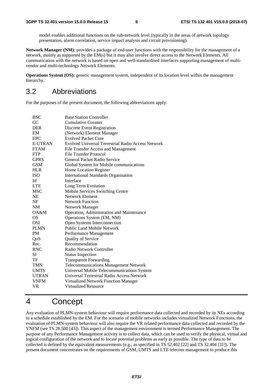model enables additional functions on the sub-network level (typically in the areas of network topology presentation, alarm correlation, service impact analysis and circuit provisioning).

**Network Manager (NM):** provides a package of end-user functions with the responsibility for the management of a network, mainly as supported by the EM(s) but it may also involve direct access to the Network Elements. All communication with the network is based on open and well-standardised interfaces supporting management of multivendor and multi-technology Network Elements.

**Operations System (OS):** generic management system, independent of its location level within the management hierarchy.

## 3.2 Abbreviations

For the purposes of the present document, the following abbreviations apply:

| <b>BSC</b>     | <b>Base Station Controller</b>                            |
|----------------|-----------------------------------------------------------|
| CC             | <b>Cumulative Counter</b>                                 |
| <b>DER</b>     | <b>Discrete Event Registration</b>                        |
| EM             | (Network) Element Manager                                 |
| <b>EPC</b>     | <b>Evolved Packet Core</b>                                |
| <b>E-UTRAN</b> | <b>Evolved Universal Terrestrial Radio Access Network</b> |
| <b>FTAM</b>    | File Transfer Access and Management                       |
| <b>FTP</b>     | File Transfer Protocol                                    |
| <b>GPRS</b>    | General Packet Radio Service                              |
| GSM            | Global System for Mobile communications                   |
| <b>HLR</b>     | Home Location Register                                    |
| <b>ISO</b>     | <b>International Standards Organisation</b>               |
| Itf            | Interface                                                 |
| <b>LTE</b>     | Long Term Evolution                                       |
| <b>MSC</b>     | Mobile Services Switching Centre                          |
| NE             | Network Element                                           |
| NF             | <b>Network Function</b>                                   |
| NM             | Network Manager                                           |
| OA&M           | Operation, Administration and Maintenance                 |
| OS             | Operations System (EM, NM)                                |
| OSI            | Open Systems Interconnection                              |
| <b>PLMN</b>    | <b>Public Land Mobile Network</b>                         |
| <b>PM</b>      | Performance Management                                    |
| QoS            | <b>Quality of Service</b>                                 |
| Rec.           | Recommendation                                            |
| <b>RNC</b>     | Radio Network Controller                                  |
| SI             | <b>Status Inspection</b>                                  |
| TF             | <b>Transparent Forwarding</b>                             |
| <b>TMN</b>     | <b>Telecommunications Management Network</b>              |
| <b>UMTS</b>    | Universal Mobile Telecommunications System                |
| <b>UTRAN</b>   | Universal Terrestrial Radio Access Network                |
| <b>VNFM</b>    | Virtualized Network Function Manager                      |
| VR             | Virtualized Resource                                      |

# 4 Concept

Any evaluation of PLMN-system behaviour will require performance data collected and recorded by its NEs according to a schedule established by the EM. For the scenario of mobile networks includes virtualized Network Functions, the evaluation of PLMN-system behaviour will also require the VR related performance data collected and recorded by the VNFM (see TS 28.500 [43]). This aspect of the management environment is termed Performance Management. The purpose of any Performance Management activity is to collect data, which can be used to verify the physical, virtual and logical configuration of the network and to locate potential problems as early as possible. The type of data to be collected is defined by the equivalent measurements (e.g., as specified in TS 52.402 [22] and TS 32.404 [31]). The present document concentrates on the requirements of GSM, UMTS and LTE telecom management to produce this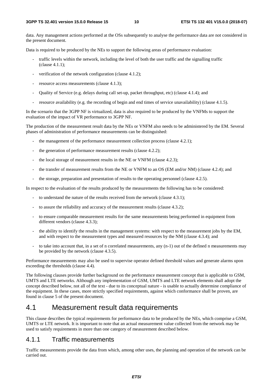data. Any management actions performed at the OSs subsequently to analyse the performance data are not considered in the present document.

Data is required to be produced by the NEs to support the following areas of performance evaluation:

- traffic levels within the network, including the level of both the user traffic and the signalling traffic (clause 4.1.1);
- verification of the network configuration (clause  $4.1.2$ );
- resource access measurements (clause 4.1.3);
- Quality of Service (e.g. delays during call set-up, packet throughput, etc) (clause 4.1.4); and
- resource availability (e.g. the recording of begin and end times of service unavailability) (clause 4.1.5).

In the scenario that the 3GPP NF is virtualized, data is also required to be produced by the VNFMs to support the evaluation of the impact of VR performance to 3GPP NF.

The production of the measurement result data by the NEs or VNFM also needs to be administered by the EM. Several phases of administration of performance measurements can be distinguished:

- the management of the performance measurement collection process (clause 4.2.1);
- the generation of performance measurement results (clause  $4.2.2$ );
- the local storage of measurement results in the NE or VNFM (clause 4.2.3);
- the transfer of measurement results from the NE or VNFM to an OS (EM and/or NM) (clause 4.2.4); and
- the storage, preparation and presentation of results to the operating personnel (clause 4.2.5).

In respect to the evaluation of the results produced by the measurements the following has to be considered:

- to understand the nature of the results received from the network (clause 4.3.1);
- to assure the reliability and accuracy of the measurement results (clause 4.3.2);
- to ensure comparable measurement results for the same measurements being performed in equipment from different vendors (clause 4.3.3);
- the ability to identify the results in the management systems: with respect to the measurement jobs by the EM, and with respect to the measurement types and measured resources by the NM (clause 4.3.4); and
- to take into account that, in a set of n correlated measurements, any  $(n-1)$  out of the defined n measurements may be provided by the network (clause 4.3.5).

Performance measurements may also be used to supervise operator defined threshold values and generate alarms upon exceeding the thresholds (clause 4.4).

The following clauses provide further background on the performance measurement concept that is applicable to GSM, UMTS and LTE networks. Although any implementation of GSM, UMTS and LTE network elements shall adopt the concept described below, not all of the text - due to its conceptual nature - is usable to actually determine compliance of the equipment. In these cases, more strictly specified requirements, against which conformance shall be proven, are found in clause 5 of the present document.

## 4.1 Measurement result data requirements

This clause describes the typical requirements for performance data to be produced by the NEs, which comprise a GSM, UMTS or LTE network. It is important to note that an actual measurement value collected from the network may be used to satisfy requirements in more than one category of measurement described below.

#### 4.1.1 Traffic measurements

Traffic measurements provide the data from which, among other uses, the planning and operation of the network can be carried out.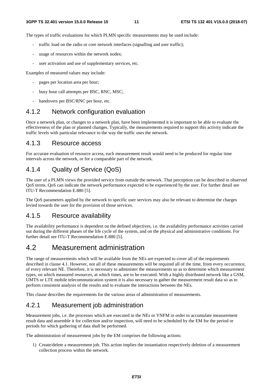The types of traffic evaluations for which PLMN specific measurements may be used include:

- traffic load on the radio or core network interfaces (signalling and user traffic);
- usage of resources within the network nodes;
- user activation and use of supplementary services, etc.

Examples of measured values may include:

- pages per location area per hour;
- busy hour call attempts per BSC, RNC, MSC;
- handovers per BSC/RNC per hour, etc.

#### 4.1.2 Network configuration evaluation

Once a network plan, or changes to a network plan, have been implemented it is important to be able to evaluate the effectiveness of the plan or planned changes. Typically, the measurements required to support this activity indicate the traffic levels with particular relevance to the way the traffic uses the network.

#### 4.1.3 Resource access

For accurate evaluation of resource access, each measurement result would need to be produced for regular time intervals across the network, or for a comparable part of the network.

## 4.1.4 Quality of Service (QoS)

The user of a PLMN views the provided service from outside the network. That perception can be described in observed QoS terms. QoS can indicate the network performance expected to be experienced by the user. For further detail see ITU-T Recommendation E.880 [5].

The QoS parameters applied by the network to specific user services may also be relevant to determine the charges levied towards the user for the provision of those services.

#### 4.1.5 Resource availability

The availability performance is dependent on the defined objectives, i.e. the availability performance activities carried out during the different phases of the life cycle of the system, and on the physical and administrative conditions. For further detail see ITU-T Recommendation E.880 [5].

## 4.2 Measurement administration

The range of measurements which will be available from the NEs are expected to cover all of the requirements described in clause 4.1. However, not all of these measurements will be required all of the time, from every occurrence, of every relevant NE. Therefore, it is necessary to administer the measurements so as to determine which measurement types, on which measured resources, at which times, are to be executed. With a highly distributed network like a GSM, UMTS or LTE mobile telecommunication system it is also necessary to gather the measurement result data so as to perform consistent analysis of the results and to evaluate the interactions between the NEs.

This clause describes the requirements for the various areas of administration of measurements.

### 4.2.1 Measurement job administration

Measurement jobs, i.e. the processes which are executed in the NEs or VNFM in order to accumulate measurement result data and assemble it for collection and/or inspection, will need to be scheduled by the EM for the period or periods for which gathering of data shall be performed.

The administration of measurement jobs by the EM comprises the following actions:

1) Create/delete a measurement job. This action implies the instantiation respectively deletion of a measurement collection process within the network.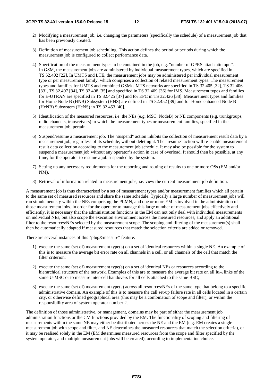- 2) Modifying a measurement job, i.e. changing the parameters (specifically the schedule) of a measurement job that has been previously created.
- 3) Definition of measurement job scheduling. This action defines the period or periods during which the measurement job is configured to collect performance data.
- 4) Specification of the measurement types to be contained in the job, e.g. "number of GPRS attach attempts". In GSM, the measurement jobs are administered by individual measurement types, which are specified in TS 52.402 [22]. In UMTS and LTE, the measurement jobs may be administered per individual measurement type or per measurement family, which comprises a collection of related measurement types. The measurement types and families for UMTS and combined GSM/UMTS networks are specified in TS 32.405 [32], TS 32.406 [33], TS 32.407 [34], TS 32.408 [35] and specified in TS 32.409 [36] for IMS. Measurement types and families for E-UTRAN are specified in TS 32.425 [37] and for EPC in TS 32.426 [38]. Measurement types and families for Home Node B (HNB) Subsystem (HNS) are defined in TS 32.452 [39] and for Home enhanced Node B (HeNB) Subsystem (HeNS) in TS.32.453 [40].
- 5) Identification of the measured resources, i.e. the NEs (e.g. MSC, NodeB) or NE components (e.g. trunkgroups, radio channels, transceivers) to which the measurement types or measurement families, specified in the measurement job, pertain.
- 6) Suspend/resume a measurement job. The "suspend" action inhibits the collection of measurement result data by a measurement job, regardless of its schedule, without deleting it. The "resume" action will re-enable measurement result data collection according to the measurement job schedule. It may also be possible for the system to suspend a measurement job without any operator's action in case of overload. It should then be possible, at any time, for the operator to resume a job suspended by the system.
- 7) Setting up any necessary requirements for the reporting and routing of results to one or more OSs (EM and/or NM).
- 8) Retrieval of information related to measurement jobs, i.e. view the current measurement job definition.

A measurement job is thus characterised by a set of measurement types and/or measurement families which all pertain to the same set of measured resources and share the same schedule. Typically a large number of measurement jobs will run simultaneously within the NEs comprising the PLMN, and one or more EM is involved in the administration of those measurement jobs. In order for the operator to manage this large number of measurement jobs effectively and efficiently, it is necessary that the administration functions in the EM can not only deal with individual measurements on individual NEs, but also scope the execution environment across the measured resources, and apply an additional filter to the resources/NEs selected by the measurement scope. The scoping and filtering of the measurement(s) shall then be automatically adapted if measured resources that match the selection criteria are added or removed.

There are several instances of this "plug&measure" feature:

- 1) execute the same (set of) measurement type(s) on a set of identical resources within a single NE. An example of this is to measure the average bit error rate on all channels in a cell, or all channels of the cell that match the filter criterion;
- 2) execute the same (set of) measurement type(s) on a set of identical NEs or resources according to the hierarchical structure of the network. Examples of this are to measure the average bit rate on all  $I_{\text{up}}$  links of the same U-MSC or to measure inter-cell handovers for all cells attached to the same BSC;
- 3) execute the same (set of) measurement type(s) across all resources/NEs of the same type that belong to a specific administrative domain. An example of this is to measure the call set-up failure rate in all cells located in a certain city, or otherwise defined geographical area (this may be a combination of scope and filter), or within the responsibility area of system operator number 2.

The definition of those administrative, or management, domains may be part of either the measurement job administration functions or the CM functions provided by the EM. The functionality of scoping and filtering of measurements within the same NE may either be distributed across the NE and the EM (e.g. EM creates a single measurement job with scope and filter, and NE determines the measured resources that match the selection criteria), or it may be realised solely in the EM (EM determines measured resources from the scope and filter specified by the system operator, and multiple measurement jobs will be created), according to implementation choice.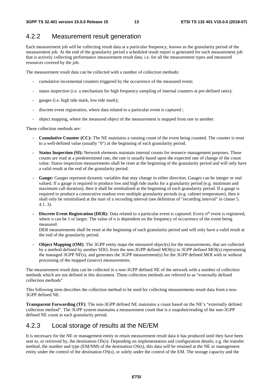## 4.2.2 Measurement result generation

Each measurement job will be collecting result data at a particular frequency, known as the granularity period of the measurement job. At the end of the granularity period a scheduled result report is generated for each measurement job that is actively collecting performance measurement result data, i.e. for all the measurement types and measured resources covered by the job.

The measurement result data can be collected with a number of collection methods:

- cumulative incremental counters triggered by the occurrence of the measured event;
- status inspection (i.e. a mechanism for high frequency sampling of internal counters at pre-defined rates);
- gauges (i.e. high tide mark, low tide mark);
- discrete event registration, where data related to a particular event is captured;
- object mapping, where the measured object of the measurement is mapped from one to another.

These collection methods are:

- **Cumulative Counter (CC):** The NE maintains a running count of the event being counted. The counter is reset to a well-defined value (usually "0") at the beginning of each granularity period.
- **Status Inspection (SI):** Network elements maintain internal counts for resource management purposes. These counts are read at a predetermined rate, the rate is usually based upon the expected rate of change of the count value. Status inspection measurements shall be reset at the beginning of the granularity period and will only have a valid result at the end of the granularity period.
- **Gauge:** Gauges represent dynamic variables that may change in either direction. Gauges can be integer or real valued. If a gauge is required to produce low and high tide marks for a granularity period (e.g. minimum and maximum call duration), then it shall be reinitialised at the beginning of each granularity period. If a gauge is required to produce a consecutive readout over multiple granularity periods (e.g. cabinet temperature), then it shall only be reinitialised at the start of a recording interval (see definition of "recording interval" in clause 5. 4.1. 3).
- **Discrete Event Registration (DER):** Data related to a particular event is captured. Every n<sup>th</sup> event is registered, where n can be 1 or larger. The value of n is dependent on the frequency of occurrence of the event being measured.

DER measurements shall be reset at the beginning of each granularity period and will only have a valid result at the end of the granularity period.

**Object Mapping (OM)**: The 3GPP entity maps the measured object(s) for the measurements, that are collected by a method defined by another SDO, from the non-3GPP defined MOI(s) to 3GPP defined MOI(s) representing the managed 3GPP NF(s), and generates the 3GPP measurement(s) for the 3GPP defined MOI with or without processing of the mapped (source) measurements.

The measurement result data can be collected in a non-3GPP defined NE of the network with a number of collection methods which are not defined in this document. These collection methods are referred to as "externally defined collection methods"

This following item describes the collection method to be used for collecting measurements result data from a non-3GPP defined NE.

**Transparent Forwarding (TF)**: The non-3GPP defined NE maintains a count based on the NE's "externally defined collection method". The 3GPP system maintains a measurement count that is a snapshot/reading of the non-3GPP defined NE count at each granularity period.

## 4.2.3 Local storage of results at the NE/EM

It is necessary for the NE or management entity to retain measurement result data it has produced until they have been sent to, or retrieved by, the destination OS(s). Depending on implementation and configuration details, e.g. the transfer method, the number and type (EM/NM) of the destination OS(s), this data will be retained at the NE or management entity under the control of the destination OS(s), or solely under the control of the EM. The storage capacity and the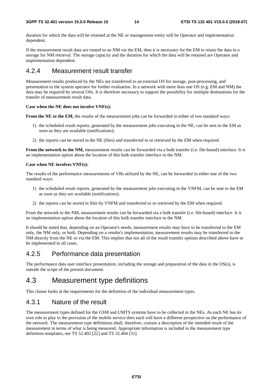duration for which the data will be retained at the NE or management entity will be Operator and implementation dependent.

If the measurement result data are routed to an NM via the EM, then it is necessary for the EM to retain the data in a storage for NM retrieval. The storage capacity and the duration for which the data will be retained are Operator and implementation dependent.

## 4.2.4 Measurement result transfer

Measurement results produced by the NEs are transferred to an external OS for storage, post-processing, and presentation to the system operator for further evaluation. In a network with more than one OS (e.g. EM and NM) the data may be required by several OSs. It is therefore necessary to support the possibility for multiple destinations for the transfer of measurement result data.

#### **Case when the NE does not involve VNF(s):**

**From the NE to the EM,** the results of the measurement jobs can be forwarded in either of two standard ways:

- 1) the scheduled result reports, generated by the measurement jobs executing in the NE, can be sent to the EM as soon as they are available (notifications);
- 2) the reports can be stored in the NE (files) and transferred to or retrieved by the EM when required.

**From the network to the NM,** measurement results can be forwarded via a bulk transfer (i.e. file-based) interface. It is an implementation option about the location of this bulk transfer interface to the NM.

#### **Case when NE involves VNF(s):**

The results of the performance measurements of VRs utilized by the NE, can be forwarded in either one of the two standard ways:

- 1) the scheduled result reports, generated by the measurement jobs executing in the VNFM, can be sent to the EM as soon as they are available (notifications);
- 2) the reports can be stored in files by VNFM and transferred to or retrieved by the EM when required.

From the network to the NM, measurement results can be forwarded via a bulk transfer (i.e. file-based) interface. It is an implementation option about the location of this bulk transfer interface to the NM.

It should be noted that, depending on an Operator's needs, measurement results may have to be transferred to the EM only, the NM only, or both. Depending on a vendor's implementation, measurement results may be transferred to the NM directly from the NE or via the EM. This implies that not all of the result transfer options described above have to be implemented in all cases.

## 4.2.5 Performance data presentation

The performance data user interface presentation, including the storage and preparation of the data in the OS(s), is outside the scope of the present document.

## 4.3 Measurement type definitions

This clause looks at the requirements for the definition of the individual measurement types.

## 4.3.1 Nature of the result

The measurement types defined for the GSM and UMTS systems have to be collected in the NEs. As each NE has its own role to play in the provision of the mobile service then each will have a different perspective on the performance of the network. The measurement type definitions shall, therefore, contain a description of the intended result of the measurement in terms of what is being measured. Appropriate information is included in the measurement type definition templates, see TS 52.402 [22] and TS 32.404 [31].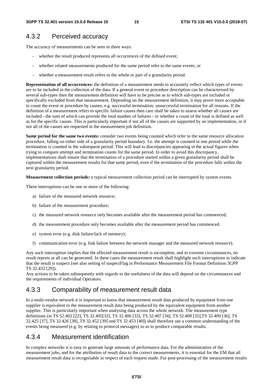## 4.3.2 Perceived accuracy

The accuracy of measurements can be seen in three ways:

- whether the result produced represents all occurrences of the defined event;
- whether related measurements produced for the same period refer to the same events; or
- whether a measurement result refers to the whole or part of a granularity period.

**Representation of all occurrences:** the definition of a measurement needs to accurately reflect which types of events are to be included in the collection of the data. If a general event or procedure description can be characterised by several sub-types then the measurement definition will have to be precise as to which sub-types are included or specifically excluded from that measurement. Depending on the measurement definition, it may prove more acceptable to count the event or procedure by causes, e.g. successful termination, unsuccessful termination for all reasons. If the definition of a measurement refers to specific failure causes then care shall be taken to assess whether all causes are included - the sum of which can provide the total number of failures - or whether a count of the total is defined as well as for the specific causes. This is particularly important if not all of the causes are supported by an implementation, or if not all of the causes are requested in the measurement job definition.

**Same period for the same two events:** consider two events being counted which refer to the same resource allocation procedure, falling on either side of a granularity period boundary. I.e. the attempt is counted in one period while the termination is counted in the subsequent period. This will lead to discrepancies appearing in the actual figures when trying to compare attempt and termination counts for the same period. In order to avoid this discrepancy, implementations shall ensure that the termination of a procedure started within a given granularity period shall be captured within the measurement results for that same period, even if the termination of the procedure falls within the next granularity period.

**Measurement collection periods:** a typical measurement collection period can be interrupted by system events.

These interruptions can be one or more of the following:

- a) failure of the measured network resource;
- b) failure of the measurement procedure;
- c) the measured network resource only becomes available after the measurement period has commenced;
- d) the measurement procedure only becomes available after the measurement period has commenced.
- e) system error (e.g. disk failure/lack of memory);
- f) communication error (e.g. link failure between the network manager and the measured network resource).

Any such interruption implies that the affected measurement result is incomplete, and in extreme circumstances, no result reports at all can be generated. In these cases the measurement result shall highlight such interruptions to indicate that the result is suspect (see also setting of suspectFlag in Performance Measurement File Format Definition 3GPP TS 32.432 [29]).

Any actions to be taken subsequently with regards to the usefulness of the data will depend on the circumstances and the requirements of individual Operators.

### 4.3.3 Comparability of measurement result data

In a multi-vendor network it is important to know that measurement result data produced by equipment from one supplier is equivalent to the measurement result data being produced by the equivalent equipment from another supplier. This is particularly important when analysing data across the whole network. The measurement type definitions (in TS 52.402 [22], TS 32.405[32], TS 32.406 [33], TS 32.407 [34], TS 32.408 [35],TS 32.409 [36], TS 32.425 [37], TS 32.426 [38], TS 32.452 [39] and TS 32.453 [40]) shall therefore use a common understanding of the events being measured (e.g. by relating to protocol messages) so as to produce comparable results.

#### 4.3.4 Measurement identification

In complex networks it is easy to generate large amounts of performance data. For the administration of the measurement jobs, and for the attribution of result data to the correct measurements, it is essential for the EM that all measurement result data is recognisable in respect of each request made. For post-processing of the measurement results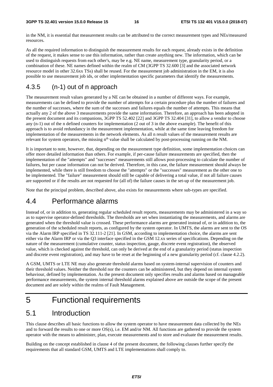in the NM, it is essential that measurement results can be attributed to the correct measurement types and NEs/measured resources.

As all the required information to distinguish the measurement results for each request, already exists in the definition of the request, it makes sense to use this information, rather than create anything new. The information, which can be used to distinguish requests from each other's, may be e.g. NE name, measurement type, granularity period, or a combination of these. NE names defined within the realm of CM (3GPP TS 32.600 [3] and the associated network resource model in other 32.6xx TSs) shall be reused. For the measurement job administration in the EM, it is also possible to use measurement job ids, or other implementation specific parameters that identify the measurements.

## 4.3.5 (n-1) out of n approach

The measurement result values generated by a NE can be obtained in a number of different ways. For example, measurements can be defined to provide the number of attempts for a certain procedure plus the number of failures and the number of successes, where the sum of the successes and failures equals the number of attempts. This means that actually any 2 of the above 3 measurements provide the same information. Therefore, an approach has been adopted in the present document and its companions, 3GPP TS 52.402 [22] and 3GPP TS 32.404 [31], to allow a vendor to choose any (n-1) out of the n defined counters for implementation (2 out of 3 in the above example). The benefit of this approach is to avoid redundancy in the measurement implementation, while at the same time leaving freedom for implementation of the measurements in the network elements. As all n result values of the measurement results are relevant for system operators, the missing n<sup>th</sup> value shall be calculated by post-processing running on the NM.

It is important to note, however, that, depending on the measurement type definition, some implementation choices can offer more detailed information than others. For example, if per-cause failure measurements are specified, then the implementation of the "attempts" and "successes" measurements still allows post-processing to calculate the number of failures, but per cause information can not be derived. Therefore, in this case, the failure measurement should always be implemented, while there is still freedom to choose the "attempts" or the "successes" measurement as the other one to be implemented. The "failure" measurement should still be capable of delivering a total value, if not all failure causes are supported or if the results are not requested for (all of) the failure causes in the set-up of the measurement job.

Note that the principal problem, described above, also exists for measurements where sub-types are specified.

## 4.4 Performance alarms

Instead of, or in addition to, generating regular scheduled result reports, measurements may be administered in a way so as to supervise operator-defined thresholds. The thresholds are set when instantiating the measurements, and alarms are generated when the threshold value is crossed. These performance alarms are generated instead of, or in addition to, the generation of the scheduled result reports, as configured by the system operator. In UMTS, the alarms are sent to the OS via the Alarm IRP specified in TS 32.111-2 [21]. In GSM, according to implementation choice, the alarms are sent either via the Alarm IRP or via the Q3 interface specified in the GSM 12.xx series of specifications. Depending on the nature of the measurement (cumulative counter, status inspection, gauge, discrete event registration), the observed value, which is checked against the threshold, can only be derived at the end of a granularity period (status inspection and discrete event registration), and may have to be reset at the beginning of a new granularity period (cf. clause 4.2.2).

A GSM, UMTS or LTE NE may also generate threshold alarms based on system-internal supervision of counters and their threshold values. Neither the threshold nor the counters can be administered, but they depend on internal system behaviour, defined by implementation. As the present document only specifies results and alarms based on manageable performance measurements, the system internal threshold alarms explained above are outside the scope of the present document and are solely within the realms of Fault Management.

# 5 Functional requirements

## 5.1 Introduction

This clause describes all basic functions to allow the system operator to have measurement data collected by the NEs and to forward the results to one or more OS(s), i.e. EM and/or NM. All functions are gathered to provide the system operator with the means to administer, plan, execute measurements and to store and evaluate the measurement results.

Building on the concept established in clause 4 of the present document, the following clauses further specify the requirements that all standard GSM, UMTS and LTE implementations shall comply to.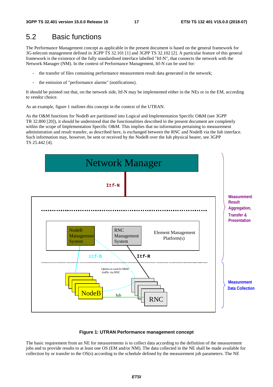# 5.2 Basic functions

The Performance Management concept as applicable in the present document is based on the general framework for 3G-telecom management defined in 3GPP TS 32.101 [1] and 3GPP TS 32.102 [2]. A particular feature of this general framework is the existence of the fully standardised interface labelled "Itf-N", that connects the network with the Network Manager (NM). In the context of Performance Management, Itf-N can be used for:

- the transfer of files containing performance measurement result data generated in the network;
- the emission of "performance alarms" (notifications).

It should be pointed out that, on the network side, Itf-N may be implemented either in the NEs or in the EM, according to vendor choice.

As an example, figure 1 outlines this concept in the context of the UTRAN.

As the O&M functions for NodeB are partitioned into Logical and Implementation Specific O&M (see 3GPP TR 32.800 [20]), it should be understood that the functionalities described in the present document are completely within the scope of Implementation Specific O&M. This implies that no information pertaining to measurement administration and result transfer, as described here, is exchanged between the RNC and NodeB via the Iub interface. Such information may, however, be sent or received by the NodeB over the Iub physical bearer, see 3GPP TS 25.442 [4].



#### **Figure 1: UTRAN Performance management concept**

The basic requirement from an NE for measurements is to collect data according to the definition of the measurement jobs and to provide results to at least one OS (EM and/or NM). The data collected in the NE shall be made available for collection by or transfer to the OS(s) according to the schedule defined by the measurement job parameters. The NE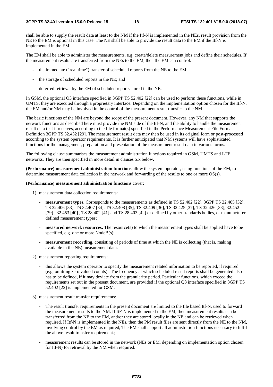shall be able to supply the result data at least to the NM if the Itf-N is implemented in the NEs, result provision from the NE to the EM is optional in this case. The NE shall be able to provide the result data to the EM if the Itf-N is implemented in the EM.

The EM shall be able to administer the measurements, e.g. create/delete measurement jobs and define their schedules. If the measurement results are transferred from the NEs to the EM, then the EM can control:

- the immediate ("real time") transfer of scheduled reports from the NE to the EM;
- the storage of scheduled reports in the NE; and
- deferred retrieval by the EM of scheduled reports stored in the NE.

In GSM, the optional Q3 interface specified in 3GPP TS 52.402 [22] can be used to perform these functions, while in UMTS, they are executed through a proprietary interface. Depending on the implementation option chosen for the Itf-N, the EM and/or NM may be involved in the control of the measurement result transfer to the NM.

The basic functions of the NM are beyond the scope of the present document. However, any NM that supports the network functions as described here must provide the NM side of the Itf-N, and the ability to handle the measurement result data that it receives, according to the file format(s) specified in the Performance Measurement File Format Definition 3GPP TS 32.432 [29]. The measurement result data may then be used in its original form or post-processed according to the system operator requirements. It is further anticipated that NM systems will have sophisticated functions for the management, preparation and presentation of the measurement result data in various forms.

The following clause summarises the measurement administration functions required in GSM, UMTS and LTE networks. They are then specified in more detail in clauses 5.x below.

**(Performance) measurement administration functions** allow the system operator, using functions of the EM, to determine measurement data collection in the network and forwarding of the results to one or more OS(s).

#### **(Performance) measurement administration functions** cover:

- 1) measurement data collection requirements:
	- - **measurement types.** Corresponds to the measurements as defined in TS 52.402 [22], 3GPP TS 32.405 [32], TS 32.406 [33], TS 32.407 [34], TS 32.408 [35], TS 32.409 [36], TS 32.425 [37], TS 32.426 [38], 32.452 [39] , 32.453 [40] , TS 28.402 [41] and TS 28.403 [42] or defined by other standards bodies, or manufacturer defined measurement types;
	- - **measured network resources.** The resource(s) to which the measurement types shall be applied have to be specified, e.g. one or more NodeB(s);
	- **measurement recording**, consisting of periods of time at which the NE is collecting (that is, making available in the NE) measurement data.
- 2) measurement reporting requirements:
	- this allows the system operator to specify the measurement related information to be reported, if required (e.g. omitting zero valued counts).. The frequency at which scheduled result reports shall be generated also has to be defined, if it may deviate from the granularity period. Particular functions, which exceed the requirements set out in the present document, are provided if the optional Q3 interface specified in 3GPP TS 52.402 [22] is implemented for GSM.
- 3) measurement result transfer requirements:
	- The result transfer requirements in the present document are limited to the file based Itf-N, used to forward the measurement results to the NM. If ItF-N is implemented in the EM, then measurement results can be transferred from the NE to the EM, and/or they are stored locally in the NE and can be retrieved when required. If Itf-N is implemented in the NEs, then the PM result files are sent directly from the NE to the NM, involving control by the EM as required, The EM shall support all administration functions necessary to fulfil the above result transfer requirement.;
	- measurement results can be stored in the network (NEs or EM, depending on implementation option chosen for Itf-N) for retrieval by the NM when required.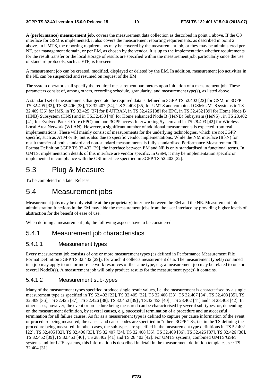**A (performance) measurement job,** covers the measurement data collection as described in point 1 above. If the Q3 interface for GSM is implemented, it also covers the measurement reporting requirements, as described in point 2 above. In UMTS, the reporting requirements may be covered by the measurement job, or they may be administered per NE, per management domain, or per EM, as chosen by the vendor. It is up to the implementation whether requirements for the result transfer or the local storage of results are specified within the measurement job, particularly since the use of standard protocols, such as FTP, is foreseen.

A measurement job can be created, modified, displayed or deleted by the EM. In addition, measurement job activities in the NE can be suspended and resumed on request of the EM.

The system operator shall specify the required measurement parameters upon initiation of a measurement job. These parameters consist of, among others, recording schedule, granularity, and measurement type(s), as listed above.

A standard set of measurements that generate the required data is defined in 3GPP TS 52.402 [22] for GSM, in 3GPP TS 32.405 [32], TS 32.406 [33], TS 32.407 [34], TS 32.408 [35] for UMTS and combined GSM/UMTS systems,in TS 32.409 [36] for IMS, in TS 32.425 [37] for E-UTRAN, in TS 32.426 [38] for EPC, in TS 32.452 [39] for Home Node B (HNB) Subsystem (HNS) and in TS.32.453 [40] for Home enhanced Node B (HeNB) Subsystem (HeNS) , in TS 28.402 [41] for Evolved Packet Core (EPC) and non-3GPP access Interworking System and in TS 28.403 [42] for Wireless Local Area Network (WLAN). However, a significant number of additional measurements is expected from real implementations. These will mainly consist of measurements for the underlying technologies, which are not 3GPP specific, such as ATM or IP, but is also due to specific vendor implementations. While the NM interface (Itf-N) for result transfer of both standard and non-standard measurements is fully standardised Performance Measurement File Format Definition 3GPP TS 32.432 [29], the interface between EM and NE is only standardised in functional terms. In UMTS, implementation details of this interface are vendor specific. In GSM, it may be implementation specific or implemented in compliance with the OSI interface specified in 3GPP TS 52.402 [22].

## 5.3 Plug & Measure

To be completed in a later Release.

## 5.4 Measurement jobs

Measurement jobs may be only visible at the (proprietary) interface between the EM and the NE. Measurement job administration functions in the EM may hide the measurement jobs from the user interface by providing higher levels of abstraction for the benefit of ease of use.

When defining a measurement job, the following aspects have to be considered.

#### 5.4.1 Measurement job characteristics

#### 5.4.1.1 Measurement types

Every measurement job consists of one or more measurement types (as defined in Performance Measurement File Format Definition 3GPP TS 32.432 [29]), for which it collects measurement data. The measurement type(s) contained in a job may apply to one or more network resources of the same type, e.g. a measurement job may be related to one or several NodeB(s). A measurement job will only produce results for the measurement type(s) it contains.

#### 5.4.1.2 Measurement sub-types

Many of the measurement types specified produce single result values, i.e. the measurement is characterised by a single measurement type as specified in TS 52.402 [22], TS 32.405 [32], TS 32.406 [33], TS 32.407 [34], TS 32.408 [35], TS 32.409 [36], TS 32.425 [37], TS 32.426 [38], TS 32.452 [39] , TS.32.453 [40] , TS 28.402 [41] and TS 28.403 [42]. In other cases, however, the event or procedure being measured can be characterised by several sub-types, or, depending on the measurement definition, by several causes, e.g. successful termination of a procedure and unsuccessful termination for all failure causes. As far as a measurement type is defined to capture per cause information of the event or procedure being measured, the causes and cause codes are specified in "other" 3GPP TSs, i.e. in the TS defining the procedure being measured. In other cases, the sub-types are specified in the measurement type definitions in TS 52.402 [22], TS 32.405 [32], TS 32.406 [33], TS 32.407 [34], TS 32.408 [35], TS 32.409 [36], TS 32.425 [37], TS 32.426 [38], TS 32.452 [39] ,TS.32.453 [40] , TS 28.402 [41] and TS 28.403 [42]. For UMTS systems, combined UMTS/GSM systems and for LTE systems, this information is described in detail in the measurement definition templates, see TS 32.404 [31].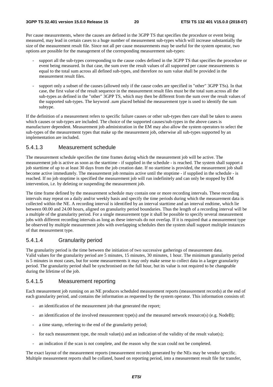Per cause measurements, where the causes are defined in the 3GPP TS that specifies the procedure or event being measured, may lead in certain cases to a huge number of measurement sub-types which will increase substantially the size of the measurement result file. Since not all per cause measurements may be useful for the system operator, two options are possible for the management of the corresponding measurement sub-types:

- support all the sub-types corresponding to the cause codes defined in the 3GPP TS that specifies the procedure or event being measured. In that case, the sum over the result values of all supported per cause measurements is equal to the total sum across all defined sub-types, and therefore no sum value shall be provided in the measurement result files.
- support only a subset of the causes (allowed only if the cause codes are specified in "other" 3GPP TSs). In that case, the first value of the result sequence in the measurement result files must be the total sum across all the sub-types as defined in the "other" 3GPP TS, which may then be different from the sum over the result values of the supported sub-types. The keyword .*sum* placed behind the measurement type is used to identify the sum subtype.

If the definition of a measurement refers to specific failure causes or other sub-types then care shall be taken to assess which causes or sub-types are included. The choice of the supported causes/sub-types in the above cases is manufacturer dependent. Measurement job administration in the EM may also allow the system operators to select the sub-types of the measurement types that make up the measurement job, otherwise all sub-types supported by an implementation are included.

#### 5.4.1.3 Measurement schedule

The measurement schedule specifies the time frames during which the measurement job will be active. The measurement job is active as soon as the starttime - if supplied in the schedule - is reached. The system shall support a job starttime of up to at least 30 days from the job creation date. If no starttime is provided, the measurement job shall become active immediately. The measurement job remains active until the stoptime - if supplied in the schedule - is reached. If no job stoptime is specified the measurement job will run indefinitely and can only be stopped by EM intervention, i.e. by deleting or suspending the measurement job.

The time frame defined by the measurement schedule may contain one or more recording intervals. These recording intervals may repeat on a daily and/or weekly basis and specify the time periods during which the measurement data is collected within the NE. A recording interval is identified by an interval starttime and an interval endtime, which lie between 00.00 and 24.00 hours, aligned on granularity period boundaries. Thus the length of a recording interval will be a multiple of the granularity period. For a single measurement type it shall be possible to specify several measurement jobs with different recording intervals as long as these intervals do not overlap. If it is required that a measurement type be observed by multiple measurement jobs with overlapping schedules then the system shall support multiple instances of that measurement type.

#### 5.4.1.4 Granularity period

The granularity period is the time between the initiation of two successive gatherings of measurement data. Valid values for the granularity period are 5 minutes, 15 minutes, 30 minutes, 1 hour. The minimum granularity period is 5 minutes in most cases, but for some measurements it may only make sense to collect data in a larger granularity period. The granularity period shall be synchronised on the full hour, but its value is not required to be changeable during the lifetime of the job.

#### 5.4.1.5 Measurement reporting

Each measurement job running on an NE produces scheduled measurement reports (measurement records) at the end of each granularity period, and contains the information as requested by the system operator. This information consists of:

- an identification of the measurement job that generated the report;
- an identification of the involved measurement type(s) and the measured network resource(s) (e.g. NodeB);
- a time stamp, referring to the end of the granularity period;
- for each measurement type, the result value(s) and an indication of the validity of the result value(s);
- an indication if the scan is not complete, and the reason why the scan could not be completed.

The exact layout of the measurement reports (measurement records) generated by the NEs may be vendor specific. Multiple measurement reports shall be collated, based on reporting period, into a measurement result file for transfer,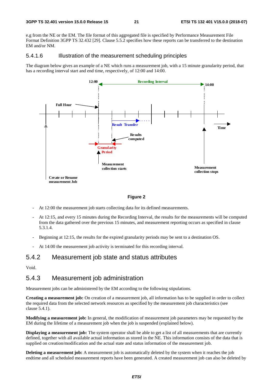e.g from the NE or the EM. The file format of this aggregated file is specified by Performance Measurement File Format Definition 3GPP TS 32.432 [29]. Clause 5.5.2 specifies how these reports can be transferred to the destination EM and/or NM.

#### 5.4.1.6 Illustration of the measurement scheduling principles

The diagram below gives an example of a NE which runs a measurement job, with a 15 minute granularity period, that has a recording interval start and end time, respectively, of 12:00 and 14:00.



#### **Figure 2**

- At 12:00 the measurement job starts collecting data for its defined measurements.
- At 12:15, and every 15 minutes during the Recording Interval, the results for the measurements will be computed from the data gathered over the previous 15 minutes, and measurement reporting occurs as specified in clause 5.3.1.4.
- Beginning at 12:15, the results for the expired granularity periods may be sent to a destination OS.
- At 14:00 the measurement job activity is terminated for this recording interval.

## 5.4.2 Measurement job state and status attributes

Void.

#### 5.4.3 Measurement job administration

Measurement jobs can be administered by the EM according to the following stipulations.

**Creating a measurement job:** On creation of a measurement job, all information has to be supplied in order to collect the required data from the selected network resources as specified by the measurement job characteristics (see clause 5.4.1).

**Modifying a measurement job:** In general, the modification of measurement job parameters may be requested by the EM during the lifetime of a measurement job when the job is suspended (explained below).

**Displaying a measurement job:** The system operator shall be able to get a list of all measurements that are currently defined, together with all available actual information as stored in the NE. This information consists of the data that is supplied on creation/modification and the actual state and status information of the measurement job.

**Deleting a measurement job:** A measurement job is automatically deleted by the system when it reaches the job endtime and all scheduled measurement reports have been generated. A created measurement job can also be deleted by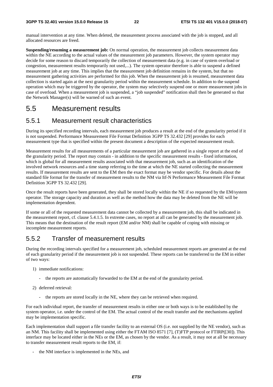manual intervention at any time. When deleted, the measurement process associated with the job is stopped, and all allocated resources are freed.

**Suspending/resuming a measurement job:** On normal operation, the measurement job collects measurement data within the NE according to the actual values of the measurement job parameters. However, the system operator may decide for some reason to discard temporarily the collection of measurement data (e.g. in case of system overload or congestion, measurement results temporarily not used,...). The system operator therefore is able to suspend a defined measurement job at any time. This implies that the measurement job definition remains in the system, but that no measurement gathering activities are performed for this job. When the measurement job is resumed, measurement data collection is started again at the next granularity period within the measurement schedule. In addition to the suspend operation which may be triggered by the operator, the system may selectively suspend one or more measurement jobs in case of overload. When a measurement job is suspended, a "job suspended" notification shall then be generated so that the Network Manager(s) will be warned of such an event.

# 5.5 Measurement results

## 5.5.1 Measurement result characteristics

During its specified recording intervals, each measurement job produces a result at the end of the granularity period if it is not suspended. Performance Measurement File Format Definition 3GPP TS 32.432 [29] provides for each measurement type that is specified within the present document a description of the expected measurement result.

Measurement results for all measurements of a particular measurement job are gathered in a single report at the end of the granularity period. The report may contain - in addition to the specific measurement results - fixed information, which is global for all measurement results associated with that measurement job, such as an identification of the involved network resources and a time stamp referring to the time at which the NE started collecting the measurement results. If measurement results are sent to the EM then the exact format may be vendor specific. For details about the standard file format for the transfer of measurement results to the NM via Itf-N Performance Measurement File Format Definition 3GPP TS 32.432 [29].

Once the result reports have been generated, they shall be stored locally within the NE if so requested by the EM/system operator. The storage capacity and duration as well as the method how the data may be deleted from the NE will be implementation dependent.

If some or all of the requested measurement data cannot be collected by a measurement job, this shall be indicated in the measurement report, cf. clause 5.4.1.5. In extreme cases, no report at all can be generated by the measurement job. This means that the destination of the result report (EM and/or NM) shall be capable of coping with missing or incomplete measurement reports.

## 5.5.2 Transfer of measurement results

During the recording intervals specified for a measurement job, scheduled measurement reports are generated at the end of each granularity period if the measurement job is not suspended. These reports can be transferred to the EM in either of two ways:

- 1) immediate notifications:
	- the reports are automatically forwarded to the EM at the end of the granularity period.
- 2) deferred retrieval:
	- the reports are stored locally in the NE, where they can be retrieved when required.

For each individual report, the transfer of measurement results in either one or both ways is to be established by the system operator, i.e. under the control of the EM. The actual control of the result transfer and the mechanisms applied may be implementation specific.

Each implementation shall support a file transfer facility to an external OS (i.e. not supplied by the NE vendor), such as an NM. This facility shall be implemented using either the FTAM ISO 8571 [7], (T)FTP protocol or FTIRP([30]). This interface may be located either in the NEs or the EM, as chosen by the vendor. As a result, it may not at all be necessary to transfer measurement result reports to the EM, if:

the NM interface is implemented in the NEs, and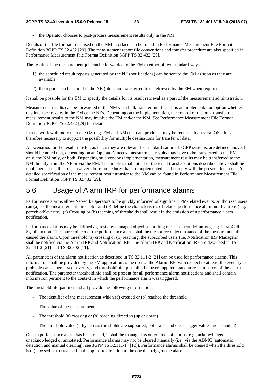the Operator chooses to post-process measurement results only in the NM.

Details of the file format to be used on the NM interface can be found in Performance Measurement File Format Definition 3GPP TS 32.432 [29]. The measurement report file conventions and transfer procedure are also specified in Performance Measurement File Format Definition 3GPP TS 32.432 [29].

The results of the measurement job can be forwarded to the EM in either of two standard ways:

- 1) the scheduled result reports generated by the NE (notifications) can be sent to the EM as soon as they are available;
- 2) the reports can be stored in the NE (files) and transferred to or retrieved by the EM when required.

It shall be possible for the EM to specify the details for its result retrieval as a part of the measurement administration.

Measurement results can be forwarded to the NM via a bulk transfer interface. It is an implementation option whether this interface resides in the EM or the NEs. Depending on the implementation, the control of the bulk transfer of measurement results to the NM may involve the EM and/or the NM. See Performance Measurement File Format Definition 3GPP TS 32.432 [29] for details.

In a network with more than one OS (e.g. EM and NM) the data produced may be required by several OSs. It is therefore necessary to support the possibility for multiple destinations for transfer of data.

All scenarios for the result transfer, as far as they are relevant for standardisation of 3GPP systems, are defined above. It should be noted that, depending on an Operator's needs, measurement results may have to be transferred to the EM only, the NM only, or both. Depending on a vendor's implementation, measurement results may be transferred to the NM directly from the NE or via the EM. This implies that not all of the result transfer options described above shall be implemented in all cases, however, those procedures that are implemented shall comply with the present document. A detailed specification of the measurement result transfer to the NM can be found in Performance Measurement File Format Definition 3GPP TS 32.432 [29].

# 5.6 Usage of Alarm IRP for performance alarms

Performance alarms allow Network Operators to be quickly informed of significant PM-related events. Authorized users can (a) set the measurement thresholds and (b) define the characteristics of related performance alarm notifications (e.g. perceivedSeverity). (a) Crossing or (b) reaching of thresholds shall result in the emission of a performance alarm notification.

Performance alarms may be defined against any managed object supporting measurement definitions, e.g. UtranCell, SgsnFunction. The source object of the performance alarm shall be the source object instance of the measurement that caused the alarm. Upon threshold (a) crossing or (b) reaching, the subscribed users (i.e. Notification IRP Managers) shall be notified via the Alarm IRP and Notification IRP. The Alarm IRP and Notification IRP are described in TS 32.111-2 [21] and TS 32.302 [11].

All parameters of the alarm notification as described in TS 32.111-2 [21] can be used for performance alarms. This information shall be provided by the PM application as the user of the Alarm IRP, with respect to at least the event type, probable cause, perceived severity, and thresholdinfo, plus all other user supplied mandatory parameters of the alarm notification. The parameter thresholdinfo shall be present for all performance alarm notifications and shall contain information pertinent to the context in which the performance alarm was triggered.

The thresholdinfo parameter shall provide the following information:

- The identifier of the measurement which (a) crossed or (b) reached the threshold
- The value of the measurement
- The threshold (a) crossing or (b) reaching direction (up or down)
- The threshold value (if hysteresis thresholds are supported, both raise and clear trigger values are provided)

Once a performance alarm has been raised, it shall be managed as other kinds of alarms, e.g., acknowledged, unacknowledged or annotated. Performance alarms may not be cleared manually (i.e., via the ADMC [automatic detection and manual clearing], see 3GPP TS 32.111-1" [12]). Performance alarms shall be cleared when the threshold is (a) crossed or (b) reached in the opposite direction to the one that triggers the alarm.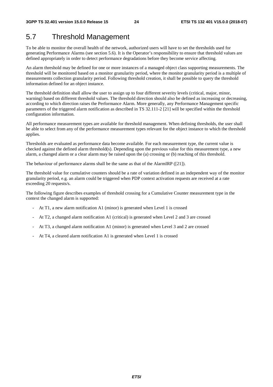# 5.7 Threshold Management

To be able to monitor the overall health of the network, authorized users will have to set the thresholds used for generating Performance Alarms (see section 5.6). It is the Operator's responsibility to ensure that threshold values are defined appropriately in order to detect performance degradations before they become service affecting.

An alarm threshold may be defined for one or more instances of a managed object class supporting measurements. The threshold will be monitored based on a monitor granularity period, where the monitor granularity period is a multiple of measurements collection granularity period. Following threshold creation, it shall be possible to query the threshold information defined for an object instance.

The threshold definition shall allow the user to assign up to four different severity levels (critical, major, minor, warning) based on different threshold values. The threshold direction should also be defined as increasing or decreasing, according to which direction raises the Performance Alarm. More generally, any Performance Management specific parameters of the triggered alarm notification as described in TS 32.111-2 [21] will be specified within the threshold configuration information.

All performance measurement types are available for threshold management. When defining thresholds, the user shall be able to select from any of the performance measurement types relevant for the object instance to which the threshold applies.

Thresholds are evaluated as performance data become available. For each measurement type, the current value is checked against the defined alarm threshold(s). Depending upon the previous value for this measurement type, a new alarm, a changed alarm or a clear alarm may be raised upon the (a) crossing or (b) reaching of this threshold.

The behaviour of performance alarms shall be the same as that of the AlarmIRP ([21]).

The threshold value for cumulative counters should be a rate of variation defined in an independent way of the monitor granularity period, e.g. an alarm could be triggered when PDP context activation requests are received at a rate exceeding 20 requests/s.

The following figure describes examples of threshold crossing for a Cumulative Counter measurement type in the context the changed alarm is supported:

- At T1, a new alarm notification A1 (minor) is generated when Level 1 is crossed
- At T2, a changed alarm notification A1 (critical) is generated when Level 2 and 3 are crossed
- At T3, a changed alarm notification A1 (minor) is generated when Level 3 and 2 are crossed
- At T4, a cleared alarm notification A1 is generated when Level 1 is crossed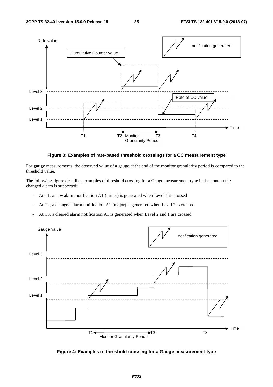

#### **Figure 3: Examples of rate-based threshold crossings for a CC measurement type**

For **gauge** measurements, the observed value of a gauge at the end of the monitor granularity period is compared to the threshold value.

The following figure describes examples of threshold crossing for a Gauge measurement type in the context the changed alarm is supported:

- At T1, a new alarm notification A1 (minor) is generated when Level 1 is crossed
- At T2, a changed alarm notification A1 (major) is generated when Level 2 is crossed
- At T3, a cleared alarm notification A1 is generated when Level 2 and 1 are crossed



**Figure 4: Examples of threshold crossing for a Gauge measurement type**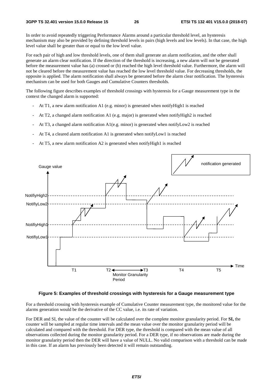In order to avoid repeatedly triggering Performance Alarms around a particular threshold level, an hysteresis mechanism may also be provided by defining threshold levels in pairs (high levels and low levels). In that case, the high level value shall be greater than or equal to the low level value.

For each pair of high and low threshold levels, one of them shall generate an alarm notification, and the other shall generate an alarm clear notification. If the direction of the threshold is increasing, a new alarm will not be generated before the measurement value has (a) crossed or (b) reached the high level threshold value. Furthermore, the alarm will not be cleared before the measurement value has reached the low level threshold value. For decreasing thresholds, the opposite is applied. The alarm notification shall always be generated before the alarm clear notification. The hysteresis mechanism can be used for both Gauges and Cumulative Counters thresholds.

The following figure describes examples of threshold crossings with hysteresis for a Gauge measurement type in the context the changed alarm is supported:

- At T1, a new alarm notification A1 (e.g. minor) is generated when notify High1 is reached
- At T2, a changed alarm notification A1 (e.g. major) is generated when notifyHigh2 is reached
- At T3, a changed alarm notification  $A1(e.g., minor)$  is generated when notifyLow2 is reached
- At T4, a cleared alarm notification A1 is generated when notifyLow1 is reached
- At T5, a new alarm notification A2 is generated when notifyHigh1 is reached



#### **Figure 5: Examples of threshold crossings with hysteresis for a Gauge measurement type**

For a threshold crossing with hysteresis example of Cumulative Counter measurement type, the monitored value for the alarms generation would be the derivative of the CC value, i.e. its rate of variation.

For DER and SI, the value of the counter will be calculated over the complete monitor granularity period. For **SI,** the counter will be sampled at regular time intervals and the mean value over the monitor granularity period will be calculated and compared with the threshold. For DER type, the threshold is compared with the mean value of all observations collected during the monitor granularity period. For a DER type, if no observations are made during the monitor granularity period then the DER will have a value of NULL. No valid comparison with a threshold can be made in this case. If an alarm has previously been detected it will remain outstanding.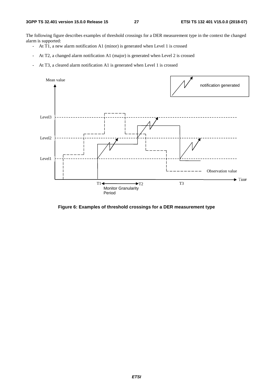The following figure describes examples of threshold crossings for a DER measurement type in the context the changed alarm is supported:

- At T1, a new alarm notification A1 (minor) is generated when Level 1 is crossed
- At T2, a changed alarm notification A1 (major) is generated when Level 2 is crossed
- At T3, a cleared alarm notification A1 is generated when Level 1 is crossed



**Figure 6: Examples of threshold crossings for a DER measurement type**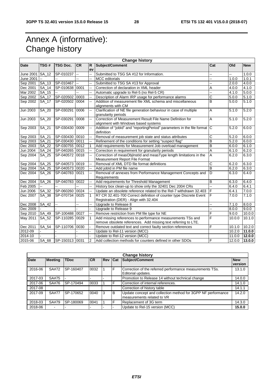# Annex A (informative): Change history

| <b>Change history</b> |              |                 |                          |                          |                                                                                                                              |                |                     |            |
|-----------------------|--------------|-----------------|--------------------------|--------------------------|------------------------------------------------------------------------------------------------------------------------------|----------------|---------------------|------------|
| Date                  | TSG#         | <b>TSG Doc.</b> | <b>CR</b>                | R                        | Subject/Comment                                                                                                              | Cat            | Old                 | <b>New</b> |
|                       |              |                 |                          | ev                       |                                                                                                                              |                |                     |            |
| June 2001             | <b>SA 12</b> | SP-010237       | Ξ.                       | L.                       | Submitted to TSG SA #12 for Information.                                                                                     |                | Щ,                  | 1.0.0      |
| June 2001             |              |                 |                          | ц,                       | <b>MCC</b> editorials                                                                                                        |                | 1.0.0               | 1.0.1      |
| Sep 2001              | SA_13        | SP-010467       | $\overline{\phantom{a}}$ | $\overline{\phantom{a}}$ | Submitted to TSG SA #13 for Approval                                                                                         | Щ,             | 2.0.0               | 4.0.0      |
| Dec 2001              | SA 14        | SP-010638       | 0001                     | -−                       | Correction of declaration in XML header                                                                                      | A              | 4.0.0               | 4.1.0      |
| Mar 2002              | SA 15        |                 |                          | L.                       | Automatic upgrade to Rel-5 (no Rel-5 CR)                                                                                     | Щ,             | 4.1.0               | 5.0.0      |
| Sep 2002              | SA 17        | SP-020502       | 0003                     | Ξ.                       | Description of Alarm IRP usage for performance alarms                                                                        | Ć              | 5.0.0               | 5.1.0      |
| Sep 2002              | SA_17        | SP-020502       | 0004                     | Ξ.                       | Addition of measurement file XML schema and miscellaneous<br>alignments with CM                                              | B              | 5.0.0               | 5.1.0      |
| <b>Jun 2003</b>       | SA_20        | SP-030291       | 0006                     | ä.                       | Clarification of NE file generation behaviour in case of multiple<br>granularity periods                                     | A              | 5.1.0               | 5.2.0      |
| Jun 2003              | SA 20        | SP-030291       | 0008                     | L.                       | Correction of Measurement Result File Name Definition for<br>alignment with Windows based systems                            | A              | 5.1.0               | 5.2.0      |
| Sep 2003              | SA_21        | SP-030430       | 0009                     | $\overline{a}$           | Addition of "jobld" and "reportingPeriod" parameters in the file format<br>definition                                        | ГC             | 5.2.0               | 6.0.0      |
| Sep 2003              | SA_21        | SP-030430       | 0010                     | ц,                       | Removal of measurement job state and status attributes                                                                       | С              | 5.2.0               | 6.0.0      |
| Sep 2003              | SA 21        | SP-030430       | 0011                     | ÷-                       | Refinement of the conditions for setting "suspect flag"                                                                      | B              | 5.2.0               | 6.0.0      |
| Dec 2003              | SA_22        | SP-030755       | 0012                     | $\mathbf{1}$             | Add requirements for Measurement Job overload management                                                                     | B              | 6.0.0               | 6.1.0      |
| Jun 2004              | SA_24        | SP-040265       | 0015                     | $\ddot{\phantom{a}}$     | Correction in requirement for granularity periods                                                                            | A              | 6.1.0               | 6.2.0      |
| Sep 2004              | SA 25        | SP-040572 0018  |                          | Ξ.                       | Correction of measObjInstId and measType length limitations in the<br>Measurement Report File Format                         | $\overline{A}$ | 6.2.0               | 6.3.0      |
| Sep 2004              | SA 25        | SP-040573       | 0019                     | 44                       | Removal of XML DTD file format definitions                                                                                   | С              | 6.2.0               | 6.3.0      |
| Sep 2004              | SA_25        | SP-040573       | 0020                     | $\overline{a}$           | Add jobld in PM file name                                                                                                    | B              | 6.2.0               | 6.3.0      |
| Dec 2004              | SA 26        | SP-040783       | 0021                     | $\overline{a}$           | Removal of annexes from Performance Management Concepts and<br>Requirements                                                  | D              | 6.3.0               | 6.4.0      |
| Dec 2004              | SA 26        | SP-040783       | 0022                     | Ξ.                       | Add requirements for Threshold Management                                                                                    | B              | 6.3.0               | 6.4.0      |
| Feb 2005              |              | цú.             |                          | цú.                      | History box clean-up to show only the 32401 Dec 2004 CRs                                                                     | L.             | 6.4.0               | 6.4.1      |
| Jun 2006              | SA 32        | SP-060260       | 0024                     | $\overline{\phantom{a}}$ | Update an obsolete reference related to the Rel-7 withdrawn 32.403                                                           | F              | 6.4.1               | 7.0.0      |
| Dec 2007              | SA 38        | SP-070734       | 0025                     | 1                        | R7 CR 32.401-700 Correct definition of counter type Discrete Event<br>Registration (DER) - Align with 32.404                 | F              | 7.0.0               | 7.1.0      |
| Dec 2008              | $SA_42$      | ш.              | L.                       | ä.                       | Upgrade to Release 8                                                                                                         | L.             | 7.1.0               | 8.0.0      |
| Dec 2009              |              |                 |                          | $\overline{a}$           | Upgrade to Release 9                                                                                                         |                | 8.0.0               | 9.0.0      |
| Sep 2010              | SA_49        | SP-100488       | 0027                     | Ξ.                       | Remove restriction from PM file type for NE                                                                                  | F              | 9.0.0               | 10.0.0     |
| May 2011              | SA_52        | SP-110285       | 0029                     | 1                        | Add missing references to performance measurements TSs and<br>remove obsolete references. Add missing text referring to LTE. | F              | 10.0.0              | 10.1.0     |
| Dec 2011              | SA_54        | SP-110706       | 0030                     |                          | Remove outdated text and correct faulty section references                                                                   | F              | 10.1.0              | 10.2.0     |
| 2012-09               |              |                 |                          | $\overline{a}$           | Update to Rel-11 version (MCC)                                                                                               |                | $\overline{10.2.0}$ | 11.0.0     |
| 2014-10               |              |                 |                          | ä,                       | Update to Rel-12 version (MCC)                                                                                               |                | 11.0.0              | 12.0.0     |
| 2015-06               | SA 68        | SP-150313 0031  |                          | $\overline{2}$           | Add collection methods for counters defined in other SDOs                                                                    | F              | 12.0.0              | 13.0.0     |

| <b>Change history</b> |                          |             |           |   |            |                                                                                            |                       |
|-----------------------|--------------------------|-------------|-----------|---|------------|--------------------------------------------------------------------------------------------|-----------------------|
| <b>Date</b>           | <b>Meeting</b>           | <b>TDoc</b> | <b>CR</b> |   | l Rev ⊺Cat | Subject/Comment                                                                            | <b>New</b><br>version |
| 2016-06               | SA#72                    | SP-160407   | 0032      |   | F          | Correction of the referred performance measurements TSs.<br>Editorial updates.             | 13.1.0                |
| 2017-03               | SA#75                    |             |           |   |            | Promotion to Release 14 without technical change                                           | 14.0.0                |
| 2017-06               | SA#76                    | SP-170494   | 0033      |   | F          | Correction of internal references.                                                         | 14.1.0                |
| 2017-08               |                          |             |           |   |            | Correction of history table                                                                | 14.1.1                |
| 2017-09               | <b>SA#77</b>             | SP-170652   | 0040      | 3 | B          | Update concept and collection method for 3GPP NF performance<br>measurements related to VR | 14.2.0                |
| 2018-03               | SA#79                    | SP-180069   | 0041      |   |            | Replacement of 3G term                                                                     | 14.3.0                |
| 2018-06               | $\overline{\phantom{0}}$ |             |           |   |            | Update to Rel-15 version (MCC)                                                             | 15.0.0                |